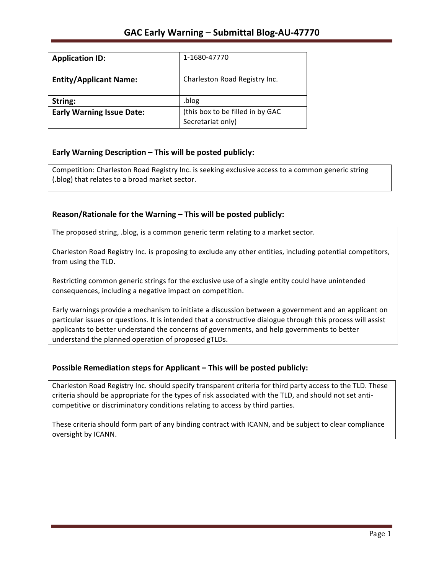| <b>Application ID:</b>           | 1-1680-47770                                          |
|----------------------------------|-------------------------------------------------------|
| <b>Entity/Applicant Name:</b>    | Charleston Road Registry Inc.                         |
| String:                          | .blog                                                 |
| <b>Early Warning Issue Date:</b> | (this box to be filled in by GAC<br>Secretariat only) |

## **Early Warning Description – This will be posted publicly:**

Competition: Charleston Road Registry Inc. is seeking exclusive access to a common generic string (.blog) that relates to a broad market sector.

## Reason/Rationale for the Warning – This will be posted publicly:

The proposed string, .blog, is a common generic term relating to a market sector.

Charleston Road Registry Inc. is proposing to exclude any other entities, including potential competitors, from using the TLD.

Restricting common generic strings for the exclusive use of a single entity could have unintended consequences, including a negative impact on competition.

Early warnings provide a mechanism to initiate a discussion between a government and an applicant on particular issues or questions. It is intended that a constructive dialogue through this process will assist applicants to better understand the concerns of governments, and help governments to better understand the planned operation of proposed gTLDs.

## **Possible Remediation steps for Applicant – This will be posted publicly:**

Charleston Road Registry Inc. should specify transparent criteria for third party access to the TLD. These criteria should be appropriate for the types of risk associated with the TLD, and should not set anticompetitive or discriminatory conditions relating to access by third parties.

These criteria should form part of any binding contract with ICANN, and be subject to clear compliance oversight by ICANN.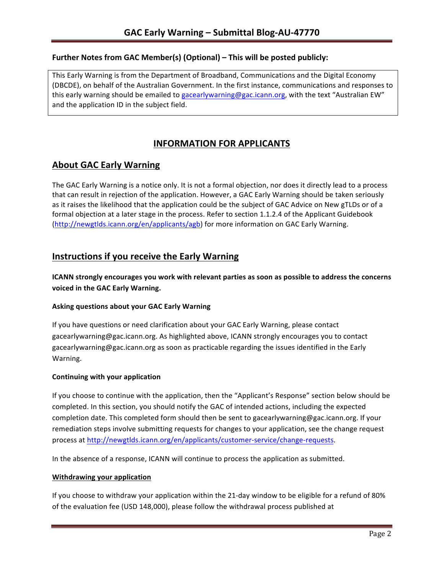## **Further Notes from GAC Member(s) (Optional) – This will be posted publicly:**

This Early Warning is from the Department of Broadband, Communications and the Digital Economy (DBCDE), on behalf of the Australian Government. In the first instance, communications and responses to this early warning should be emailed to gacearlywarning@gac.icann.org, with the text "Australian EW" and the application ID in the subject field.

# **INFORMATION FOR APPLICANTS**

## **About GAC Early Warning**

The GAC Early Warning is a notice only. It is not a formal objection, nor does it directly lead to a process that can result in rejection of the application. However, a GAC Early Warning should be taken seriously as it raises the likelihood that the application could be the subject of GAC Advice on New gTLDs or of a formal objection at a later stage in the process. Refer to section 1.1.2.4 of the Applicant Guidebook (http://newgtlds.icann.org/en/applicants/agb) for more information on GAC Early Warning.

## **Instructions if you receive the Early Warning**

**ICANN** strongly encourages you work with relevant parties as soon as possible to address the concerns **voiced in the GAC Early Warning.** 

### **Asking questions about your GAC Early Warning**

If you have questions or need clarification about your GAC Early Warning, please contact gacearlywarning@gac.icann.org. As highlighted above, ICANN strongly encourages you to contact gacearlywarning@gac.icann.org as soon as practicable regarding the issues identified in the Early Warning. 

### **Continuing with your application**

If you choose to continue with the application, then the "Applicant's Response" section below should be completed. In this section, you should notify the GAC of intended actions, including the expected completion date. This completed form should then be sent to gacearlywarning@gac.icann.org. If your remediation steps involve submitting requests for changes to your application, see the change request process at http://newgtlds.icann.org/en/applicants/customer-service/change-requests.

In the absence of a response, ICANN will continue to process the application as submitted.

### **Withdrawing your application**

If you choose to withdraw your application within the 21-day window to be eligible for a refund of 80% of the evaluation fee (USD 148,000), please follow the withdrawal process published at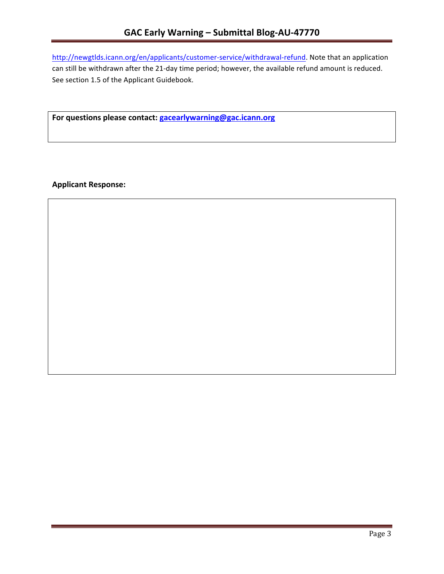http://newgtlds.icann.org/en/applicants/customer-service/withdrawal-refund. Note that an application can still be withdrawn after the 21-day time period; however, the available refund amount is reduced. See section 1.5 of the Applicant Guidebook.

For questions please contact: gacearlywarning@gac.icann.org

**Applicant Response:**